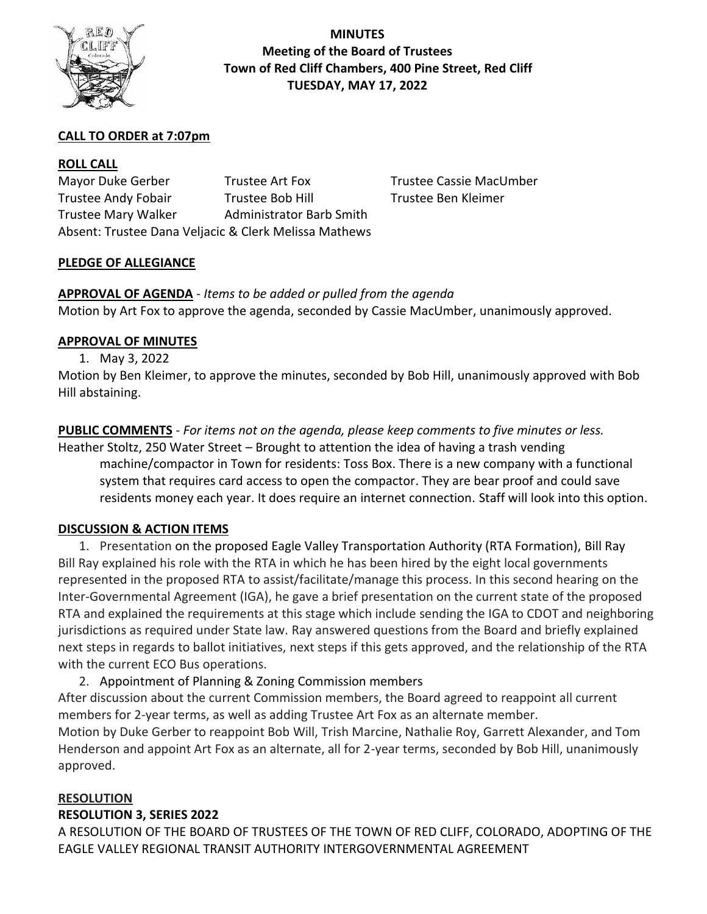

**MINUTES Meeting of the Board of Trustees Town of Red Cliff Chambers, 400 Pine Street, Red Cliff TUESDAY, MAY 17, 2022**

## **CALL TO ORDER at 7:07pm**

### **ROLL CALL**

Mayor Duke Gerber Trustee Art Fox Trustee Cassie MacUmber Trustee Andy Fobair Trustee Bob Hill Trustee Ben Kleimer Trustee Mary Walker Administrator Barb Smith Absent: Trustee Dana Veljacic & Clerk Melissa Mathews

## **PLEDGE OF ALLEGIANCE**

**APPROVAL OF AGENDA** *- Items to be added or pulled from the agenda* Motion by Art Fox to approve the agenda, seconded by Cassie MacUmber, unanimously approved.

#### **APPROVAL OF MINUTES**

1. May 3, 2022

Motion by Ben Kleimer, to approve the minutes, seconded by Bob Hill, unanimously approved with Bob Hill abstaining.

## **PUBLIC COMMENTS** *- For items not on the agenda, please keep comments to five minutes or less.*

Heather Stoltz, 250 Water Street – Brought to attention the idea of having a trash vending machine/compactor in Town for residents: Toss Box. There is a new company with a functional system that requires card access to open the compactor. They are bear proof and could save residents money each year. It does require an internet connection. Staff will look into this option.

#### **DISCUSSION & ACTION ITEMS**

1. Presentation on the proposed Eagle Valley Transportation Authority (RTA Formation), Bill Ray Bill Ray explained his role with the RTA in which he has been hired by the eight local governments represented in the proposed RTA to assist/facilitate/manage this process. In this second hearing on the Inter-Governmental Agreement (IGA), he gave a brief presentation on the current state of the proposed RTA and explained the requirements at this stage which include sending the IGA to CDOT and neighboring jurisdictions as required under State law. Ray answered questions from the Board and briefly explained next steps in regards to ballot initiatives, next steps if this gets approved, and the relationship of the RTA with the current ECO Bus operations.

2. Appointment of Planning & Zoning Commission members

After discussion about the current Commission members, the Board agreed to reappoint all current members for 2-year terms, as well as adding Trustee Art Fox as an alternate member. Motion by Duke Gerber to reappoint Bob Will, Trish Marcine, Nathalie Roy, Garrett Alexander, and Tom Henderson and appoint Art Fox as an alternate, all for 2-year terms, seconded by Bob Hill, unanimously approved.

#### **RESOLUTION**

#### **RESOLUTION 3, SERIES 2022**

A RESOLUTION OF THE BOARD OF TRUSTEES OF THE TOWN OF RED CLIFF, COLORADO, ADOPTING OF THE EAGLE VALLEY REGIONAL TRANSIT AUTHORITY INTERGOVERNMENTAL AGREEMENT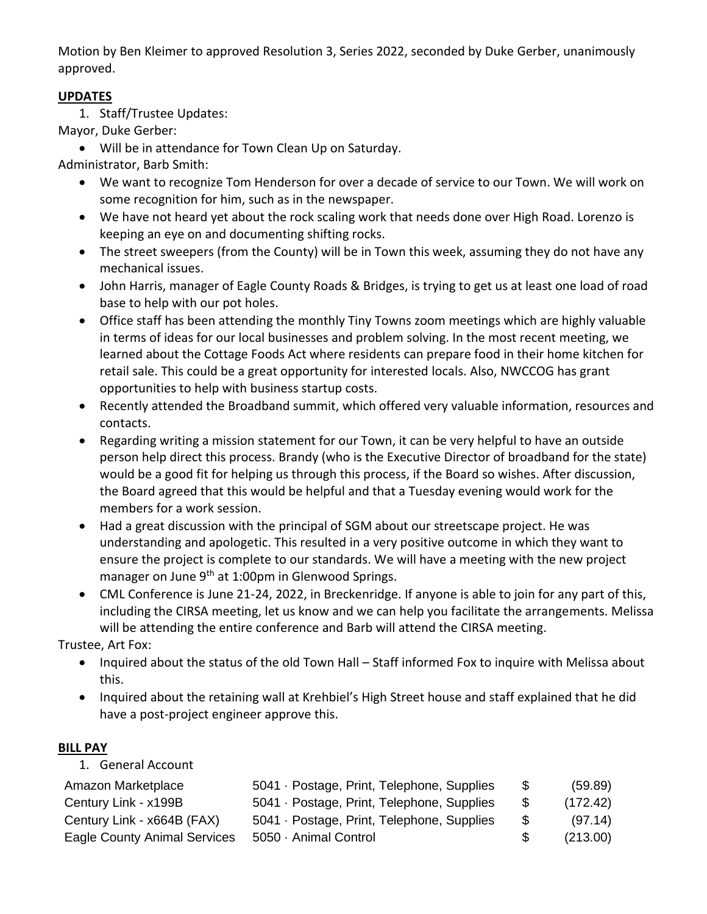Motion by Ben Kleimer to approved Resolution 3, Series 2022, seconded by Duke Gerber, unanimously approved.

## **UPDATES**

1. Staff/Trustee Updates:

Mayor, Duke Gerber:

• Will be in attendance for Town Clean Up on Saturday.

Administrator, Barb Smith:

- We want to recognize Tom Henderson for over a decade of service to our Town. We will work on some recognition for him, such as in the newspaper.
- We have not heard yet about the rock scaling work that needs done over High Road. Lorenzo is keeping an eye on and documenting shifting rocks.
- The street sweepers (from the County) will be in Town this week, assuming they do not have any mechanical issues.
- John Harris, manager of Eagle County Roads & Bridges, is trying to get us at least one load of road base to help with our pot holes.
- Office staff has been attending the monthly Tiny Towns zoom meetings which are highly valuable in terms of ideas for our local businesses and problem solving. In the most recent meeting, we learned about the Cottage Foods Act where residents can prepare food in their home kitchen for retail sale. This could be a great opportunity for interested locals. Also, NWCCOG has grant opportunities to help with business startup costs.
- Recently attended the Broadband summit, which offered very valuable information, resources and contacts.
- Regarding writing a mission statement for our Town, it can be very helpful to have an outside person help direct this process. Brandy (who is the Executive Director of broadband for the state) would be a good fit for helping us through this process, if the Board so wishes. After discussion, the Board agreed that this would be helpful and that a Tuesday evening would work for the members for a work session.
- Had a great discussion with the principal of SGM about our streetscape project. He was understanding and apologetic. This resulted in a very positive outcome in which they want to ensure the project is complete to our standards. We will have a meeting with the new project manager on June 9<sup>th</sup> at 1:00pm in Glenwood Springs.
- CML Conference is June 21-24, 2022, in Breckenridge. If anyone is able to join for any part of this, including the CIRSA meeting, let us know and we can help you facilitate the arrangements. Melissa will be attending the entire conference and Barb will attend the CIRSA meeting.

Trustee, Art Fox:

- Inquired about the status of the old Town Hall Staff informed Fox to inquire with Melissa about this.
- Inquired about the retaining wall at Krehbiel's High Street house and staff explained that he did have a post-project engineer approve this.

# **BILL PAY**

1. General Account

| Amazon Marketplace                  | 5041 · Postage, Print, Telephone, Supplies | - \$ | (59.89)  |
|-------------------------------------|--------------------------------------------|------|----------|
| Century Link - x199B                | 5041 · Postage, Print, Telephone, Supplies | - \$ | (172.42) |
| Century Link - x664B (FAX)          | 5041 · Postage, Print, Telephone, Supplies | - \$ | (97.14)  |
| <b>Eagle County Animal Services</b> | 5050 · Animal Control                      | -8   | (213.00) |